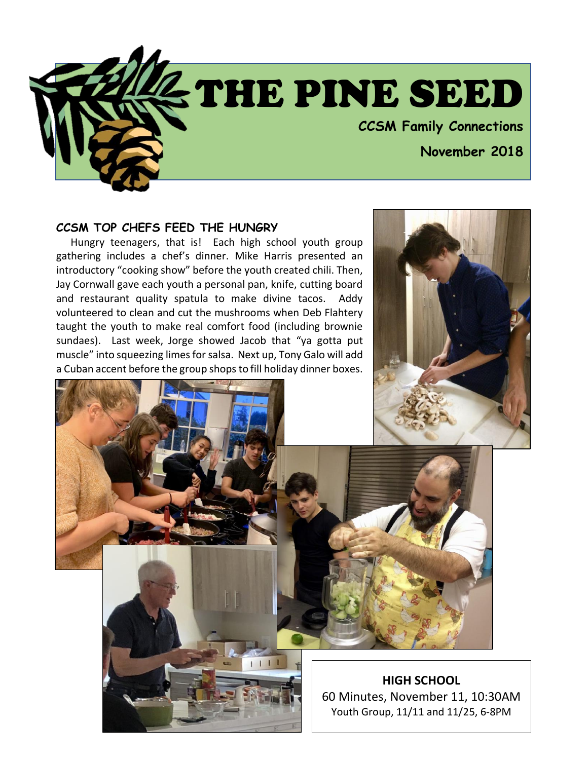

#### **CCSM TOP CHEFS FEED THE HUNGRY**

 Hungry teenagers, that is! Each high school youth group gathering includes a chef's dinner. Mike Harris presented an introductory "cooking show" before the youth created chili. Then, Jay Cornwall gave each youth a personal pan, knife, cutting board and restaurant quality spatula to make divine tacos. Addy volunteered to clean and cut the mushrooms when Deb Flahtery taught the youth to make real comfort food (including brownie sundaes). Last week, Jorge showed Jacob that "ya gotta put muscle" into squeezing limes for salsa. Next up, Tony Galo will add a Cuban accent before the group shops to fill holiday dinner boxes.





**HIGH SCHOOL** 60 Minutes, November 11, 10:30AM Youth Group, 11/11 and 11/25, 6-8PM